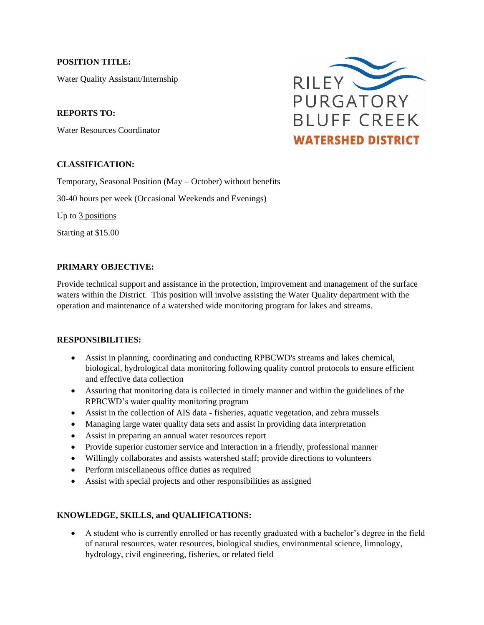#### **POSITION TITLE:**

Water Quality Assistant/Internship

#### **REPORTS TO:**

Water Resources Coordinator

# **CLASSIFICATION:**

Temporary, Seasonal Position (May – October) without benefits

30-40 hours per week (Occasional Weekends and Evenings)

Up to 3 positions

Starting at \$15.00

# **PRIMARY OBJECTIVE:**

Provide technical support and assistance in the protection, improvement and management of the surface waters within the District. This position will involve assisting the Water Quality department with the operation and maintenance of a watershed wide monitoring program for lakes and streams.

#### **RESPONSIBILITIES:**

- Assist in planning, coordinating and conducting RPBCWD's streams and lakes chemical, biological, hydrological data monitoring following quality control protocols to ensure efficient and effective data collection
- Assuring that monitoring data is collected in timely manner and within the guidelines of the RPBCWD's water quality monitoring program
- Assist in the collection of AIS data fisheries, aquatic vegetation, and zebra mussels
- Managing large water quality data sets and assist in providing data interpretation
- Assist in preparing an annual water resources report
- Provide superior customer service and interaction in a friendly, professional manner
- Willingly collaborates and assists watershed staff; provide directions to volunteers
- Perform miscellaneous office duties as required
- Assist with special projects and other responsibilities as assigned

# **KNOWLEDGE, SKILLS, and QUALIFICATIONS:**

• A student who is currently enrolled or has recently graduated with a bachelor's degree in the field of natural resources, water resources, biological studies, environmental science, limnology, hydrology, civil engineering, fisheries, or related field